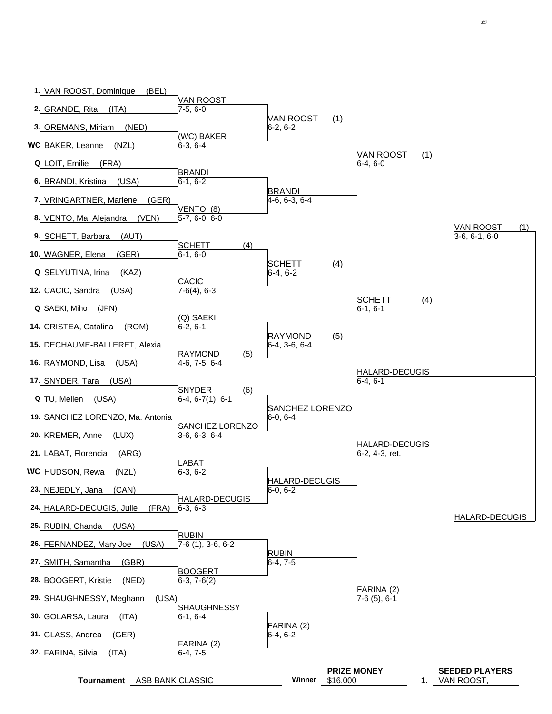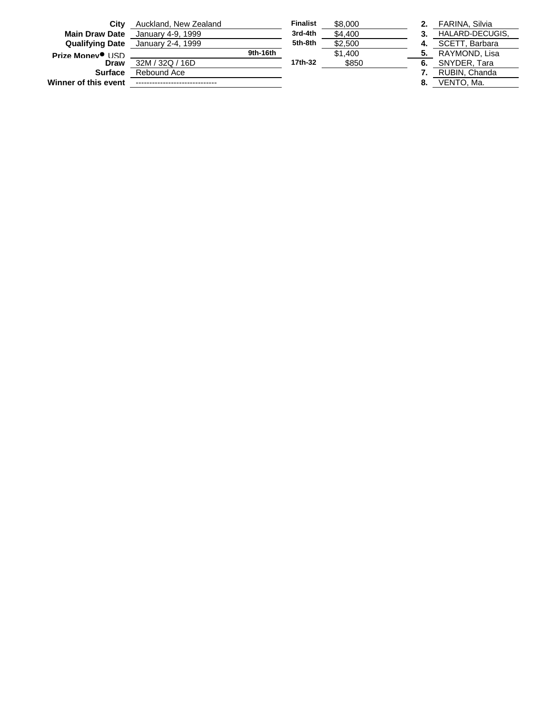| City                         | Auckland, New Zealand |          | <b>Finalist</b> | \$8,000 |    | FARINA, Silvia  |
|------------------------------|-----------------------|----------|-----------------|---------|----|-----------------|
| <b>Main Draw Date</b>        | January 4-9, 1999     |          | 3rd-4th         | \$4,400 |    | HALARD-DECUGIS. |
| <b>Qualifying Date</b>       | January 2-4, 1999     |          | 5th-8th         | \$2,500 |    | SCETT, Barbara  |
| Prize Money <sup>O</sup> USD |                       | 9th-16th |                 | \$1,400 | 5. | RAYMOND, Lisa   |
| Draw                         | 32M / 32Q / 16D       |          | 17th-32         | \$850   | 6. | SNYDER, Tara    |
| <b>Surface</b>               | Rebound Ace           |          |                 |         |    | RUBIN, Chanda   |
| Winner of this event         |                       |          |                 |         | 8. | VENTO. Ma.      |
|                              |                       |          |                 |         |    |                 |